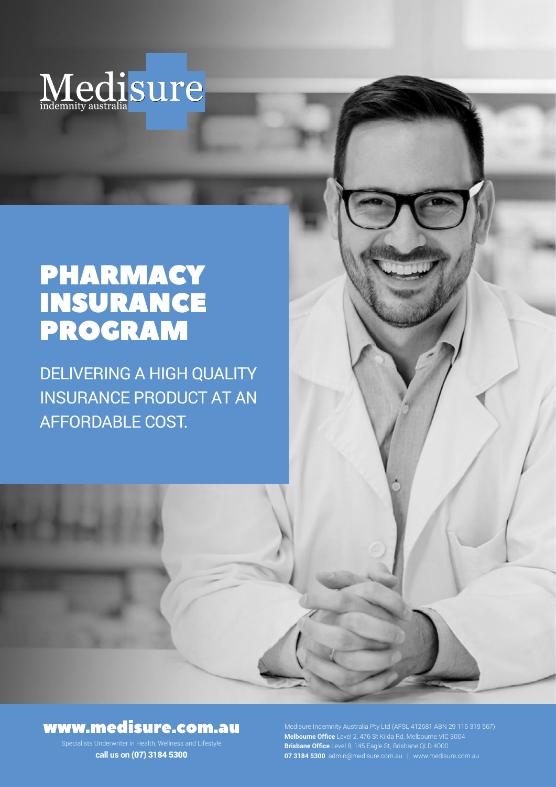

# PHARMACY INSURANCE PROGRAM

DELIVERING A HIGH QUALITY INSURANCE PRODUCT AT AN AFFORDABLE COST.

## www.medisure.com.au

Specialists Underwriter in Health, Wellness and Lifestyle **call us on** (07) 3184 5300

**Melbourne Office** Level 2, 476 St Kilda Rd, Melbourne VIC 3004 **Brisbane Office** Level 8, 145 Eagle St, Brisbane QLD 4000 **07 3184 5300** admin@medisure.com.au | www.medisure.com.au